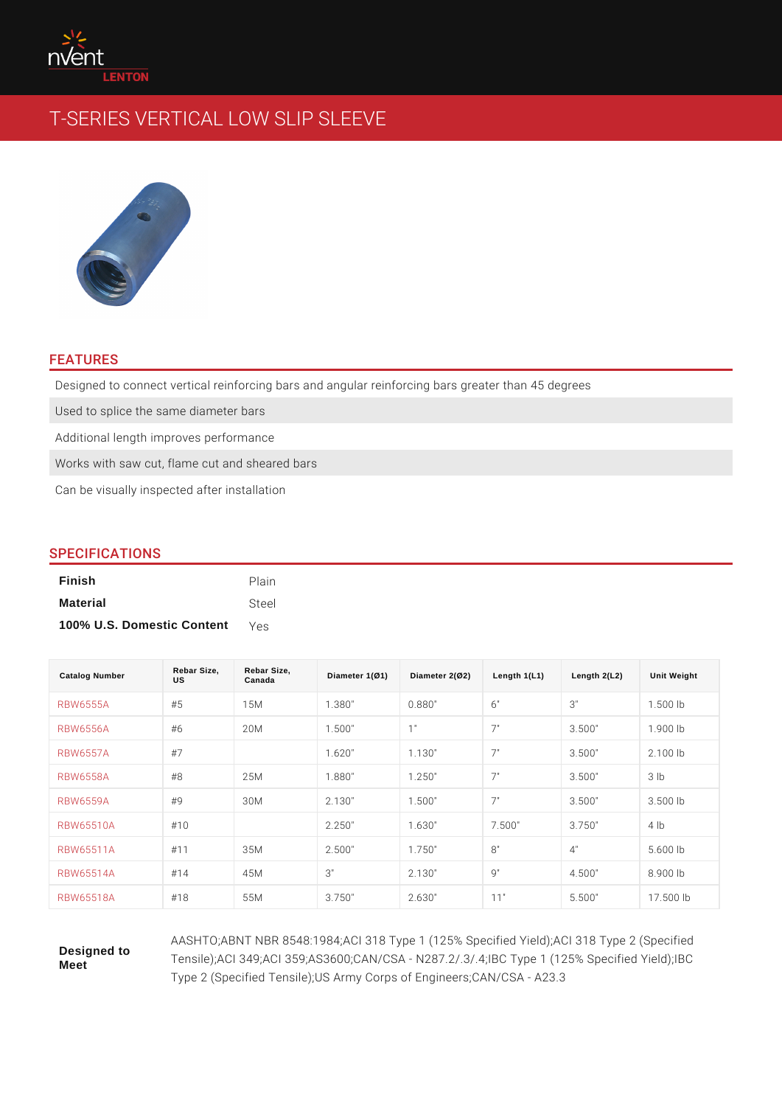# FEATURES

Designed to connect vertical reinforcing bars and angular reinforcing bars grea Used to splice the same diameter bars Additional length improves performance Works with saw cut, flame cut and sheared bars Can be visually inspected after installation

## SPECIFICATIONS

| Finish                     | Plain |
|----------------------------|-------|
| Material                   | Steel |
| 100% U.S. Domestic Content | Yes   |

| Catalog Number   | Rebar Size,<br>US | Rebar Size,<br>Canada | Diameter $1(Ø1)$ | Diameter 2(Ø2) | Length $1(L1)$ | Length $2(L2)$ | Unit Weight |
|------------------|-------------------|-----------------------|------------------|----------------|----------------|----------------|-------------|
| <b>RBW6555A</b>  | #5                | 1 5 M                 | 1.380"           | 0.880"         | 6 "            | 3"             | $1.500$ lb  |
| <b>RBW6556A</b>  | #6                | 2 0 M                 | 1.500"           | 1"             | 7"             | 3.500"         | $1.900$ lb  |
| <b>RBW6557A</b>  | #7                |                       | 1.620"           | 1.130"         | 7"             | 3.500"         | $2.100$ lb  |
| <b>RBW6558A</b>  | # 8               | 2 5 M                 | 1.880"           | 1.250"         | 7"             | 3.500"         | $3$ $ b $   |
| <b>RBW6559A</b>  | # 9               | 3 0 M                 | 2.130"           | 1.500"         | 7"             | 3.500"         | $3.500$ lb  |
| <b>RBW65510A</b> | #10               |                       | 2.250"           | 1.630"         | 7.500"         | 3.750"         | $4$ Ib      |
| <b>RBW65511A</b> | # 11              | 35M                   | 2.500"           | 1.750"         | 8"             | 4"             | $5.600$ lb  |
| RBW65514A        | #14               | 4 5 M                 | 3"               | 2.130"         | 9 "            | 4.500"         | $8.900$ lb  |
| <b>RBW65518A</b> | #18               | 55M                   | 3.750"           | 2.630"         | 11"            | 5.500"         | $17.500$ Ib |

Designed to Meet

AASHTO;ABNT NBR 8548:1984;ACI 318 Type 1 (125% Specified Yiel Tensile);ACI 349;ACI 359;AS3600;CAN/CSA - N287.2/.3/.4;IBC Type Type 2 (Specified Tensile); US Army Corps of Engineers; CAN/CSA -